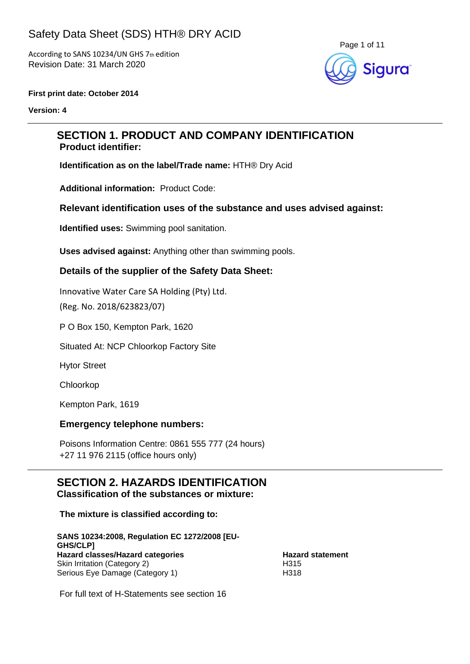According to SANS 10234/UN GHS 7th edition Revision Date: 31 March 2020



#### **First print date: October 2014**

**Version: 4**

### **SECTION 1. PRODUCT AND COMPANY IDENTIFICATION Product identifier:**

**Identification as on the label/Trade name:** HTH® Dry Acid

**Additional information:** Product Code:

#### **Relevant identification uses of the substance and uses advised against:**

**Identified uses:** Swimming pool sanitation.

**Uses advised against:** Anything other than swimming pools.

#### **Details of the supplier of the Safety Data Sheet:**

Innovative Water Care SA Holding (Pty) Ltd.

(Reg. No. 2018/623823/07)

P O Box 150, Kempton Park, 1620

Situated At: NCP Chloorkop Factory Site

Hytor Street

Chloorkop

Kempton Park, 1619

#### **Emergency telephone numbers:**

Poisons Information Centre: 0861 555 777 (24 hours) +27 11 976 2115 (office hours only)

# **SECTION 2. HAZARDS IDENTIFICATION**

**Classification of the substances or mixture:**

**The mixture is classified according to:**

**SANS 10234:2008, Regulation EC 1272/2008 [EU-GHS/CLP] Hazard classes/Hazard categories**<br>
Skin Irritation (Category 2)<br>
H315 Skin Irritation (Category 2) Serious Eye Damage (Category 1) H318

For full text of H-Statements see section 16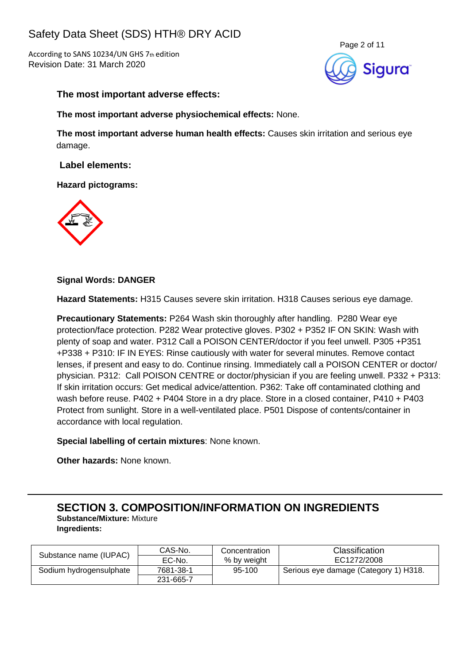According to SANS 10234/UN GHS 7th edition Revision Date: 31 March 2020



#### **The most important adverse effects:**

**The most important adverse physiochemical effects:** None.

**The most important adverse human health effects:** Causes skin irritation and serious eye damage.

**Label elements:**

**Hazard pictograms:**



#### **Signal Words: DANGER**

**Hazard Statements:** H315 Causes severe skin irritation. H318 Causes serious eye damage.

**Precautionary Statements:** P264 Wash skin thoroughly after handling. P280 Wear eye protection/face protection. P282 Wear protective gloves. P302 + P352 IF ON SKIN: Wash with plenty of soap and water. P312 Call a POISON CENTER/doctor if you feel unwell. P305 +P351 +P338 + P310: IF IN EYES: Rinse cautiously with water for several minutes. Remove contact lenses, if present and easy to do. Continue rinsing. Immediately call a POISON CENTER or doctor/ physician. P312: Call POISON CENTRE or doctor/physician if you are feeling unwell. P332 + P313: If skin irritation occurs: Get medical advice/attention. P362: Take off contaminated clothing and wash before reuse. P402 + P404 Store in a dry place. Store in a closed container, P410 + P403 Protect from sunlight. Store in a well-ventilated place. P501 Dispose of contents/container in accordance with local regulation.

**Special labelling of certain mixtures**: None known.

**Other hazards:** None known.

**SECTION 3. COMPOSITION/INFORMATION ON INGREDIENTS**

**Substance/Mixture:** Mixture **Ingredients:**

|                         | CAS-No.   | Concentration | <b>Classification</b>                 |  |
|-------------------------|-----------|---------------|---------------------------------------|--|
| Substance name (IUPAC)  | EC-No.    | % by weight   | EC1272/2008                           |  |
| Sodium hydrogensulphate | 7681-38-1 | 95-100        | Serious eye damage (Category 1) H318. |  |
|                         | 231-665-7 |               |                                       |  |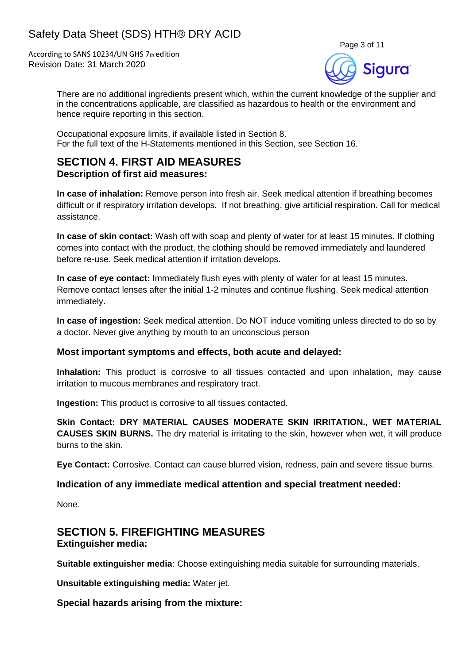According to SANS 10234/UN GHS 7th edition Revision Date: 31 March 2020



There are no additional ingredients present which, within the current knowledge of the supplier and in the concentrations applicable, are classified as hazardous to health or the environment and hence require reporting in this section.

Occupational exposure limits, if available listed in Section 8. For the full text of the H-Statements mentioned in this Section, see Section 16.

#### **SECTION 4. FIRST AID MEASURES Description of first aid measures:**

**In case of inhalation:** Remove person into fresh air. Seek medical attention if breathing becomes difficult or if respiratory irritation develops. If not breathing, give artificial respiration. Call for medical assistance.

**In case of skin contact:** Wash off with soap and plenty of water for at least 15 minutes. If clothing comes into contact with the product, the clothing should be removed immediately and laundered before re-use. Seek medical attention if irritation develops.

**In case of eye contact:** Immediately flush eyes with plenty of water for at least 15 minutes. Remove contact lenses after the initial 1-2 minutes and continue flushing. Seek medical attention immediately.

**In case of ingestion:** Seek medical attention. Do NOT induce vomiting unless directed to do so by a doctor. Never give anything by mouth to an unconscious person

#### **Most important symptoms and effects, both acute and delayed:**

**Inhalation:** This product is corrosive to all tissues contacted and upon inhalation, may cause irritation to mucous membranes and respiratory tract.

**Ingestion:** This product is corrosive to all tissues contacted.

**Skin Contact: DRY MATERIAL CAUSES MODERATE SKIN IRRITATION., WET MATERIAL CAUSES SKIN BURNS.** The dry material is irritating to the skin, however when wet, it will produce burns to the skin.

**Eye Contact:** Corrosive. Contact can cause blurred vision, redness, pain and severe tissue burns.

#### **Indication of any immediate medical attention and special treatment needed:**

None.

### **SECTION 5. FIREFIGHTING MEASURES Extinguisher media:**

**Suitable extinguisher media**: Choose extinguishing media suitable for surrounding materials.

**Unsuitable extinguishing media:** Water jet.

**Special hazards arising from the mixture:**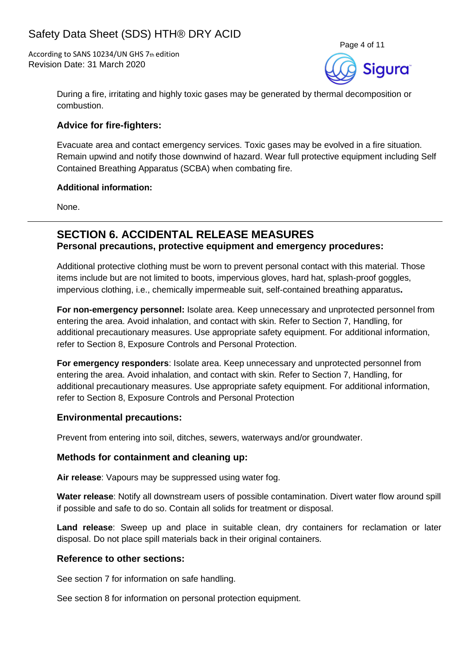According to SANS 10234/UN GHS 7th edition Revision Date: 31 March 2020



During a fire, irritating and highly toxic gases may be generated by thermal decomposition or combustion.

### **Advice for fire-fighters:**

Evacuate area and contact emergency services. Toxic gases may be evolved in a fire situation. Remain upwind and notify those downwind of hazard. Wear full protective equipment including Self Contained Breathing Apparatus (SCBA) when combating fire.

#### **Additional information:**

None.

### **SECTION 6. ACCIDENTAL RELEASE MEASURES Personal precautions, protective equipment and emergency procedures:**

Additional protective clothing must be worn to prevent personal contact with this material. Those items include but are not limited to boots, impervious gloves, hard hat, splash-proof goggles, impervious clothing, i.e., chemically impermeable suit, self-contained breathing apparatus**.**

**For non-emergency personnel:** Isolate area. Keep unnecessary and unprotected personnel from entering the area. Avoid inhalation, and contact with skin. Refer to Section 7, Handling, for additional precautionary measures. Use appropriate safety equipment. For additional information, refer to Section 8, Exposure Controls and Personal Protection.

**For emergency responders**: Isolate area. Keep unnecessary and unprotected personnel from entering the area. Avoid inhalation, and contact with skin. Refer to Section 7, Handling, for additional precautionary measures. Use appropriate safety equipment. For additional information, refer to Section 8, Exposure Controls and Personal Protection

#### **Environmental precautions:**

Prevent from entering into soil, ditches, sewers, waterways and/or groundwater.

#### **Methods for containment and cleaning up:**

**Air release**: Vapours may be suppressed using water fog.

**Water release**: Notify all downstream users of possible contamination. Divert water flow around spill if possible and safe to do so. Contain all solids for treatment or disposal.

**Land release**: Sweep up and place in suitable clean, dry containers for reclamation or later disposal. Do not place spill materials back in their original containers.

#### **Reference to other sections:**

See section 7 for information on safe handling.

See section 8 for information on personal protection equipment.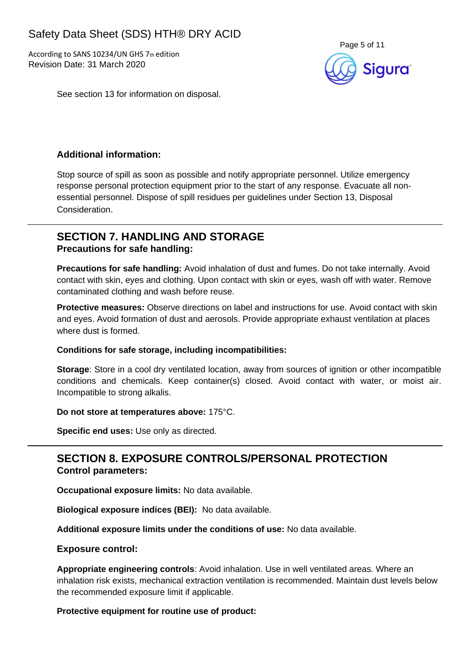According to SANS 10234/UN GHS 7th edition Revision Date: 31 March 2020



See section 13 for information on disposal.

### **Additional information:**

Stop source of spill as soon as possible and notify appropriate personnel. Utilize emergency response personal protection equipment prior to the start of any response. Evacuate all nonessential personnel. Dispose of spill residues per guidelines under Section 13, Disposal Consideration.

### **SECTION 7. HANDLING AND STORAGE Precautions for safe handling:**

**Precautions for safe handling:** Avoid inhalation of dust and fumes. Do not take internally. Avoid contact with skin, eyes and clothing. Upon contact with skin or eyes, wash off with water. Remove contaminated clothing and wash before reuse.

**Protective measures:** Observe directions on label and instructions for use. Avoid contact with skin and eyes. Avoid formation of dust and aerosols. Provide appropriate exhaust ventilation at places where dust is formed.

#### **Conditions for safe storage, including incompatibilities:**

**Storage**: Store in a cool dry ventilated location, away from sources of ignition or other incompatible conditions and chemicals. Keep container(s) closed. Avoid contact with water, or moist air. Incompatible to strong alkalis.

#### **Do not store at temperatures above:** 175°C.

**Specific end uses:** Use only as directed.

## **SECTION 8. EXPOSURE CONTROLS/PERSONAL PROTECTION Control parameters:**

**Occupational exposure limits:** No data available.

**Biological exposure indices (BEI):** No data available.

**Additional exposure limits under the conditions of use:** No data available.

#### **Exposure control:**

**Appropriate engineering controls**: Avoid inhalation. Use in well ventilated areas. Where an inhalation risk exists, mechanical extraction ventilation is recommended. Maintain dust levels below the recommended exposure limit if applicable.

#### **Protective equipment for routine use of product:**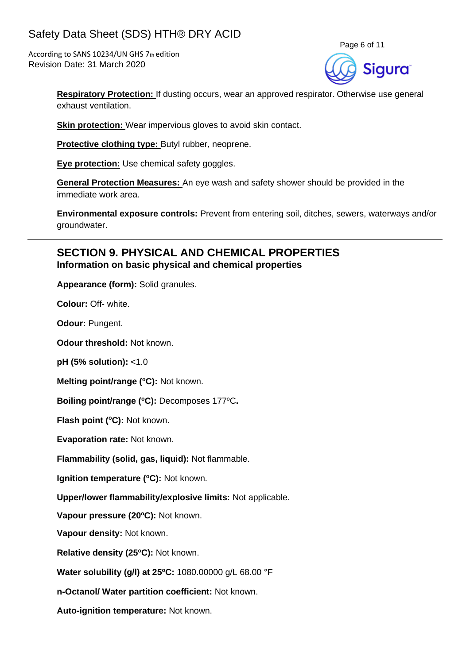According to SANS 10234/UN GHS 7th edition Revision Date: 31 March 2020



**Respiratory Protection:** If dusting occurs, wear an approved respirator. Otherwise use general exhaust ventilation.

**Skin protection:** Wear impervious gloves to avoid skin contact.

**Protective clothing type:** Butyl rubber, neoprene.

**Eye protection:** Use chemical safety goggles.

**General Protection Measures:** An eye wash and safety shower should be provided in the immediate work area.

**Environmental exposure controls:** Prevent from entering soil, ditches, sewers, waterways and/or groundwater.

### **SECTION 9. PHYSICAL AND CHEMICAL PROPERTIES Information on basic physical and chemical properties**

**Appearance (form):** Solid granules.

**Colour:** Off- white.

**Odour:** Pungent.

**Odour threshold:** Not known.

**pH (5% solution):** <1.0

**Melting point/range (°C): Not known.** 

**Boiling point/range (<sup>o</sup>C):** Decomposes 177<sup>o</sup>C**.**

**Flash point (<sup>o</sup>C):** Not known.

**Evaporation rate:** Not known.

**Flammability (solid, gas, liquid):** Not flammable.

**Ignition temperature (°C):** Not known.

**Upper/lower flammability/explosive limits:** Not applicable.

**Vapour pressure (20<sup>o</sup>C):** Not known.

**Vapour density:** Not known.

**Relative density (25 <sup>o</sup>C):** Not known.

**Water solubility (g/l) at 25 <sup>o</sup>C:** 1080.00000 g/L 68.00 °F

**n-Octanol/ Water partition coefficient:** Not known.

**Auto-ignition temperature:** Not known.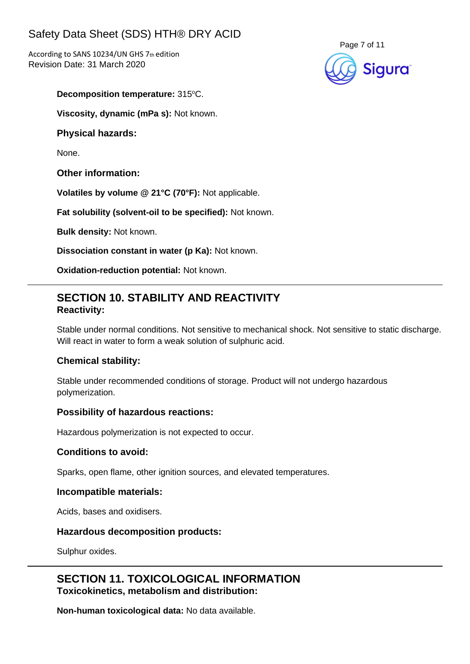According to SANS 10234/UN GHS 7th edition Revision Date: 31 March 2020



**Decomposition temperature: 315°C.** 

**Viscosity, dynamic (mPa s):** Not known.

#### **Physical hazards:**

None.

**Other information:**

**Volatiles by volume @ 21°C (70°F):** Not applicable.

**Fat solubility (solvent-oil to be specified):** Not known.

**Bulk density:** Not known.

**Dissociation constant in water (p Ka):** Not known.

**Oxidation-reduction potential:** Not known.

## **SECTION 10. STABILITY AND REACTIVITY Reactivity:**

Stable under normal conditions. Not sensitive to mechanical shock. Not sensitive to static discharge. Will react in water to form a weak solution of sulphuric acid.

#### **Chemical stability:**

Stable under recommended conditions of storage. Product will not undergo hazardous polymerization.

#### **Possibility of hazardous reactions:**

Hazardous polymerization is not expected to occur.

#### **Conditions to avoid:**

Sparks, open flame, other ignition sources, and elevated temperatures.

#### **Incompatible materials:**

Acids, bases and oxidisers.

#### **Hazardous decomposition products:**

Sulphur oxides.

**SECTION 11. TOXICOLOGICAL INFORMATION Toxicokinetics, metabolism and distribution:**

**Non-human toxicological data:** No data available.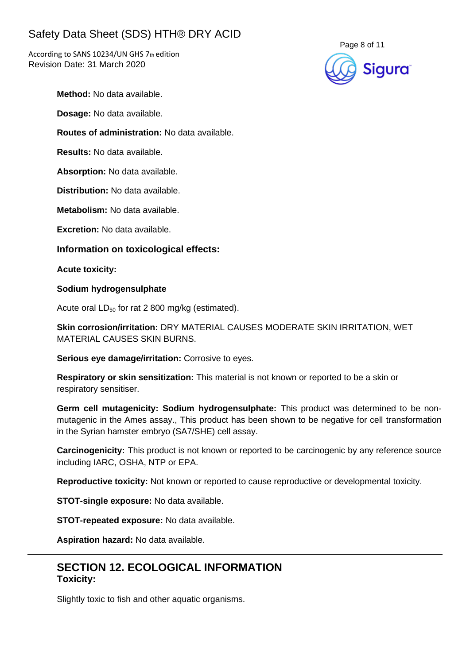According to SANS 10234/UN GHS 7th edition Revision Date: 31 March 2020



**Method:** No data available.

**Dosage:** No data available.

**Routes of administration:** No data available.

**Results:** No data available.

**Absorption:** No data available.

**Distribution:** No data available.

**Metabolism:** No data available.

**Excretion:** No data available.

**Information on toxicological effects:**

**Acute toxicity:**

**Sodium hydrogensulphate**

Acute oral  $LD_{50}$  for rat 2 800 mg/kg (estimated).

**Skin corrosion/irritation:** DRY MATERIAL CAUSES MODERATE SKIN IRRITATION, WET MATERIAL CAUSES SKIN BURNS.

**Serious eye damage/irritation:** Corrosive to eyes.

**Respiratory or skin sensitization:** This material is not known or reported to be a skin or respiratory sensitiser.

**Germ cell mutagenicity: Sodium hydrogensulphate:** This product was determined to be nonmutagenic in the Ames assay., This product has been shown to be negative for cell transformation in the Syrian hamster embryo (SA7/SHE) cell assay.

**Carcinogenicity:** This product is not known or reported to be carcinogenic by any reference source including IARC, OSHA, NTP or EPA.

**Reproductive toxicity:** Not known or reported to cause reproductive or developmental toxicity.

**STOT-single exposure:** No data available.

**STOT-repeated exposure:** No data available.

**Aspiration hazard:** No data available.

## **SECTION 12. ECOLOGICAL INFORMATION Toxicity:**

Slightly toxic to fish and other aquatic organisms.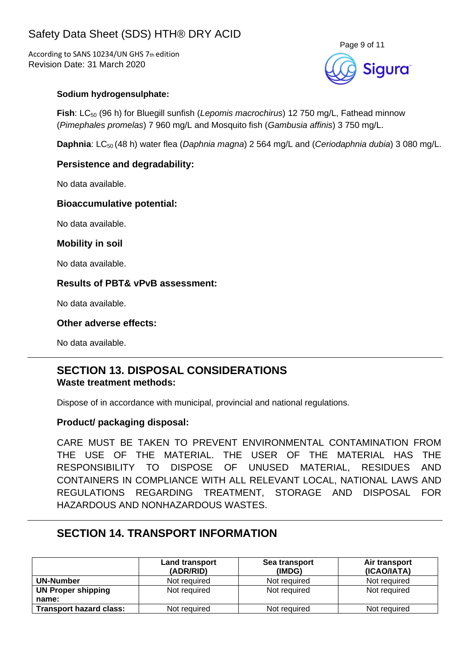According to SANS 10234/UN GHS 7th edition Revision Date: 31 March 2020



#### **Sodium hydrogensulphate:**

**Fish**: LC<sub>50</sub> (96 h) for Bluegill sunfish (*Lepomis macrochirus*) 12 750 mg/L, Fathead minnow (*Pimephales promelas*) 7 960 mg/L and Mosquito fish (*Gambusia affinis*) 3 750 mg/L.

**Daphnia**: LC<sub>50</sub> (48 h) water flea (*Daphnia magna*) 2 564 mg/L and (*Ceriodaphnia dubia*) 3 080 mg/L.

#### **Persistence and degradability:**

No data available.

#### **Bioaccumulative potential:**

No data available.

#### **Mobility in soil**

No data available.

#### **Results of PBT& vPvB assessment:**

No data available.

#### **Other adverse effects:**

No data available.

#### **SECTION 13. DISPOSAL CONSIDERATIONS Waste treatment methods:**

Dispose of in accordance with municipal, provincial and national regulations.

#### **Product/ packaging disposal:**

CARE MUST BE TAKEN TO PREVENT ENVIRONMENTAL CONTAMINATION FROM THE USE OF THE MATERIAL. THE USER OF THE MATERIAL HAS THE RESPONSIBILITY TO DISPOSE OF UNUSED MATERIAL, RESIDUES AND CONTAINERS IN COMPLIANCE WITH ALL RELEVANT LOCAL, NATIONAL LAWS AND REGULATIONS REGARDING TREATMENT, STORAGE AND DISPOSAL FOR HAZARDOUS AND NONHAZARDOUS WASTES.

## **SECTION 14. TRANSPORT INFORMATION**

|                                | Land transport<br>(ADR/RID) | Sea transport<br>(IMDG) | Air transport<br>(ICAO/IATA) |
|--------------------------------|-----------------------------|-------------------------|------------------------------|
| UN-Number                      | Not required                | Not required            | Not required                 |
| <b>UN Proper shipping</b>      | Not required                | Not required            | Not required                 |
| name:                          |                             |                         |                              |
| <b>Transport hazard class:</b> | Not required                | Not required            | Not required                 |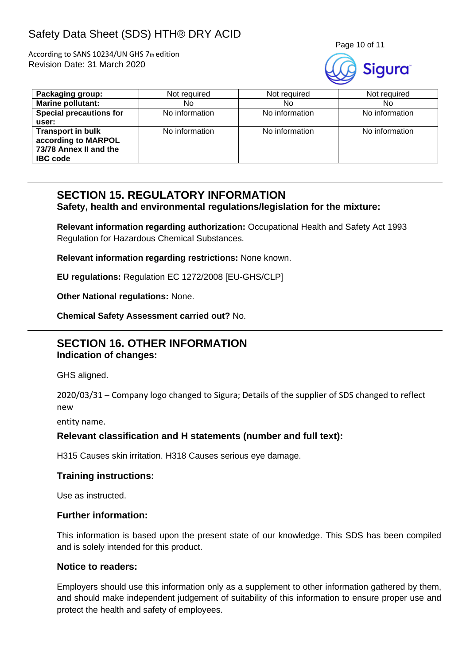According to SANS 10234/UN GHS 7th edition Revision Date: 31 March 2020



| Packaging group:                                                                             | Not required   | Not required   | Not required   |
|----------------------------------------------------------------------------------------------|----------------|----------------|----------------|
| <b>Marine pollutant:</b>                                                                     | No             | No             | No.            |
| <b>Special precautions for</b>                                                               | No information | No information | No information |
| user:                                                                                        |                |                |                |
| <b>Transport in bulk</b><br>according to MARPOL<br>73/78 Annex II and the<br><b>IBC</b> code | No information | No information | No information |

## **SECTION 15. REGULATORY INFORMATION**

**Safety, health and environmental regulations/legislation for the mixture:**

**Relevant information regarding authorization:** Occupational Health and Safety Act 1993 Regulation for Hazardous Chemical Substances.

**Relevant information regarding restrictions:** None known.

**EU regulations:** Regulation EC 1272/2008 [EU-GHS/CLP]

**Other National regulations:** None.

**Chemical Safety Assessment carried out?** No.

### **SECTION 16. OTHER INFORMATION Indication of changes:**

GHS aligned.

2020/03/31 – Company logo changed to Sigura; Details of the supplier of SDS changed to reflect new

entity name.

#### **Relevant classification and H statements (number and full text):**

H315 Causes skin irritation. H318 Causes serious eye damage.

#### **Training instructions:**

Use as instructed.

#### **Further information:**

This information is based upon the present state of our knowledge. This SDS has been compiled and is solely intended for this product.

#### **Notice to readers:**

Employers should use this information only as a supplement to other information gathered by them, and should make independent judgement of suitability of this information to ensure proper use and protect the health and safety of employees.